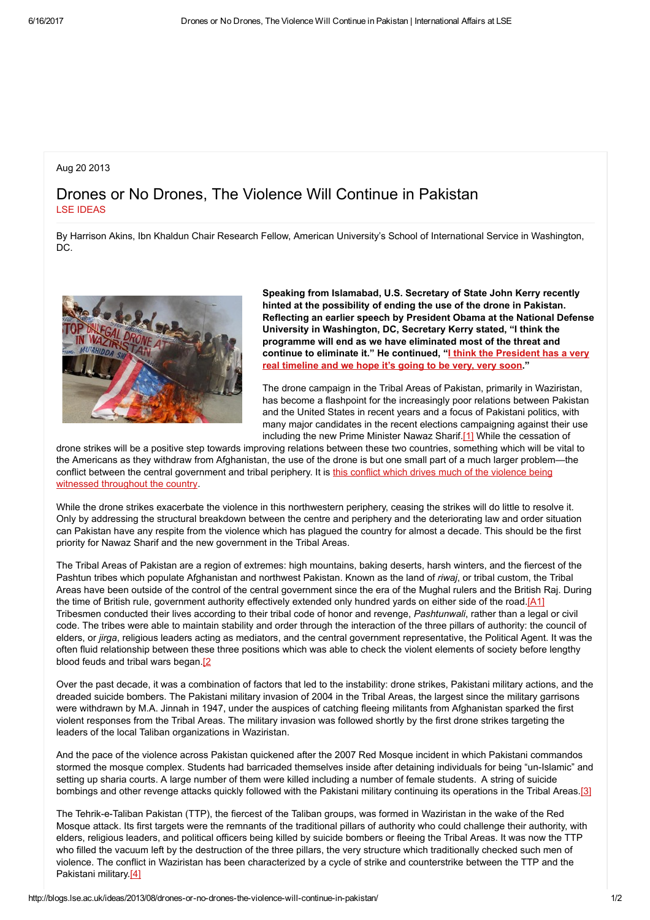## Aug 20 2013

## Drones or No Drones, The Violence Will Continue in Pakistan LSE [IDEAS](http://blogs.lse.ac.uk/ideas/author/KOUSTOUM/)

By Harrison Akins, Ibn Khaldun Chair Research Fellow, American University's School of International Service in Washington, DC.



Speaking from Islamabad, U.S. Secretary of State John Kerry recently hinted at the possibility of ending the use of the drone in Pakistan. Reflecting an earlier speech by President Obama at the National Defense University in Washington, DC, Secretary Kerry stated, "I think the programme will end as we have eliminated most of the threat and continue to eliminate it." He [continued,](http://worldnews.nbcnews.com/_news/2013/08/01/19818853-kerry-obama-has-timeline-for-ending-pakistan-drone-strikes-very-very-soon?lite) "I think the President has a very real timeline and we hope it's going to be very, very soon."

The drone campaign in the Tribal Areas of Pakistan, primarily in Waziristan, has become a flashpoint for the increasingly poor relations between Pakistan and the United States in recent years and a focus of Pakistani politics, with many major candidates in the recent elections campaigning against their use including the new Prime Minister Nawaz Sharif.[1] While the cessation of

drone strikes will be a positive step towards improving relations between these two countries, something which will be vital to the Americans as they withdraw from Afghanistan, the use of the drone is but one small part of a much larger problem—the conflict between the central [government](http://www.brookings.edu/research/books/2013/the-thistle-and-the-drone) and tribal periphery. It is this conflict which drives much of the violence being witnessed throughout the country.

While the drone strikes exacerbate the violence in this northwestern periphery, ceasing the strikes will do little to resolve it. Only by addressing the structural breakdown between the centre and periphery and the deteriorating law and order situation can Pakistan have any respite from the violence which has plagued the country for almost a decade. This should be the first priority for Nawaz Sharif and the new government in the Tribal Areas.

The Tribal Areas of Pakistan are a region of extremes: high mountains, baking deserts, harsh winters, and the fiercest of the Pashtun tribes which populate Afghanistan and northwest Pakistan. Known as the land of riwaj, or tribal custom, the Tribal Areas have been outside of the control of the central government since the era of the Mughal rulers and the British Raj. During the time of British rule, government authority effectively extended only hundred yards on either side of the road.[A1] Tribesmen conducted their lives according to their tribal code of honor and revenge. Pashtunwali, rather than a legal or civil code. The tribes were able to maintain stability and order through the interaction of the three pillars of authority: the council of elders, or *jirga*, religious leaders acting as mediators, and the central government representative, the Political Agent. It was the often fluid relationship between these three positions which was able to check the violent elements of society before lengthy blood feuds and tribal wars began.<sup>[2]</sup>

Over the past decade, it was a combination of factors that led to the instability: drone strikes, Pakistani military actions, and the dreaded suicide bombers. The Pakistani military invasion of 2004 in the Tribal Areas, the largest since the military garrisons were withdrawn by M.A. Jinnah in 1947, under the auspices of catching fleeing militants from Afghanistan sparked the first violent responses from the Tribal Areas. The military invasion was followed shortly by the first drone strikes targeting the leaders of the local Taliban organizations in Waziristan.

And the pace of the violence across Pakistan quickened after the 2007 Red Mosque incident in which Pakistani commandos stormed the mosque complex. Students had barricaded themselves inside after detaining individuals for being "un-Islamic" and setting up sharia courts. A large number of them were killed including a number of female students. A string of suicide bombings and other revenge attacks quickly followed with the Pakistani military continuing its operations in the Tribal Areas.[3]

The Tehrik-e-Taliban Pakistan (TTP), the fiercest of the Taliban groups, was formed in Waziristan in the wake of the Red Mosque attack. Its first targets were the remnants of the traditional pillars of authority who could challenge their authority, with elders, religious leaders, and political officers being killed by suicide bombers or fleeing the Tribal Areas. It was now the TTP who filled the vacuum left by the destruction of the three pillars, the very structure which traditionally checked such men of violence. The conflict in Waziristan has been characterized by a cycle of strike and counterstrike between the TTP and the Pakistani military.[4]